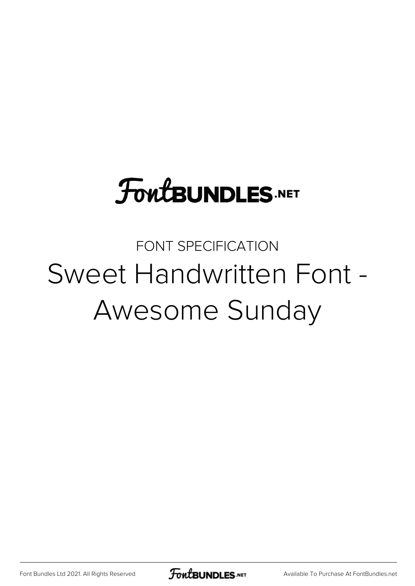# **FoutBUNDLES.NET**

## FONT SPECIFICATION Sweet Handwritten Font - Awesome Sunday

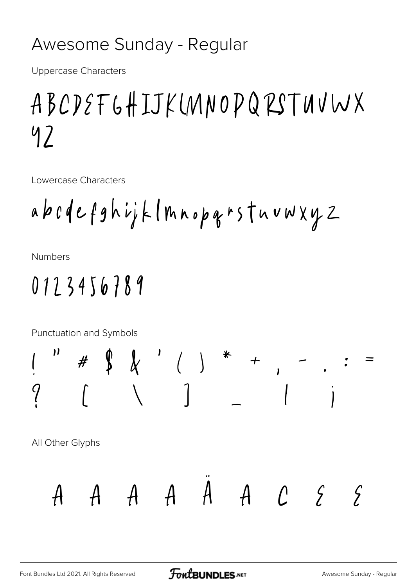#### Awesome Sunday - Regular

**Uppercase Characters** 

## ABCDEFGHIJKUNNOPQRSTUVWX 97

Lowercase Characters

**Numbers** 

### 0123456789

**Punctuation and Symbols** 

 $\oint \quad \oint \quad \quad \quad \quad \left( \quad \right)$ "  $+$  , All Other Glyphs  $A \quad A \quad A \quad A \quad A \quad C \quad S$  $\int$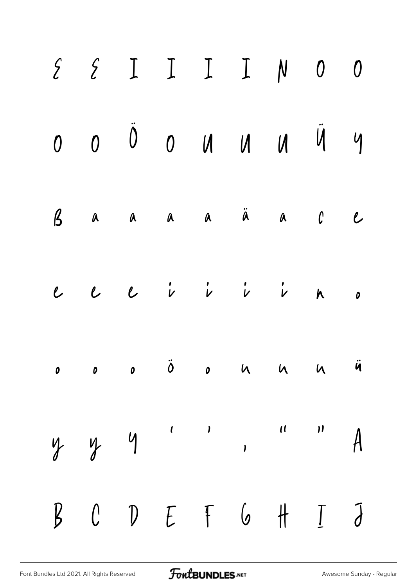| $\begin{array}{cccccccccccccc} \Sigma & \Sigma & \Sigma & \Sigma & \Gamma & \Gamma & \mathbb{N} & 0 & 0 \end{array}$ |  |  |  |  |
|----------------------------------------------------------------------------------------------------------------------|--|--|--|--|
| $0$ $0$ $0$ $0$ $0$ $0$ $0$ $0$ $0$ $0$                                                                              |  |  |  |  |
| Baaaaaäaacc                                                                                                          |  |  |  |  |
| $e$ $e$ $i$ $i$ $i$ $i$ $n$ $n$                                                                                      |  |  |  |  |
|                                                                                                                      |  |  |  |  |
| $y$ y y '' , " $A$                                                                                                   |  |  |  |  |
|                                                                                                                      |  |  |  |  |

FontBUNDLES.NET